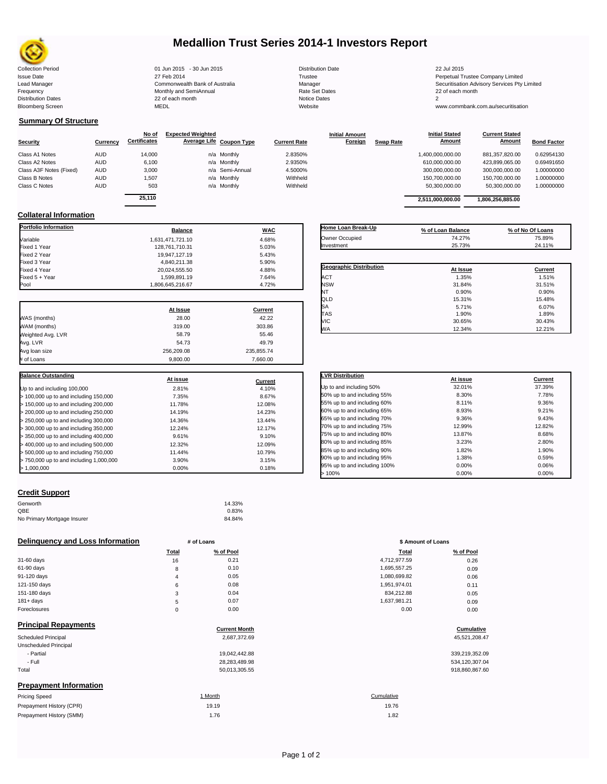

# **Medallion Trust Series 2014-1 Investors Report**

| <b>Collection Period</b>  | 01 Jun 2015 - 30 Jun 2015      | <b>Distribution Date</b> | 22 Jul 2015                             |
|---------------------------|--------------------------------|--------------------------|-----------------------------------------|
| <b>Issue Date</b>         | 27 Feb 2014                    | Trustee                  | Perpetual Trustee Company Limited       |
| Lead Manager              | Commonwealth Bank of Australia | Manager                  | Securitisation Advisory Services Pty Li |
| Frequency                 | Monthly and SemiAnnual         | <b>Rate Set Dates</b>    | 22 of each month                        |
| <b>Distribution Dates</b> | 22 of each month               | Notice Dates             |                                         |
| <b>Bloomberg Screen</b>   | <b>MEDL</b>                    | Website                  | www.commbank.com.au/securitisation      |

# **Summary Of Structure**

|                         |            | No of               | <b>Expected Weighted</b> |                 |                     | <b>Initial Amount</b> |                  | <b>Initial Stated</b> | <b>Current Stated</b> |                    |
|-------------------------|------------|---------------------|--------------------------|-----------------|---------------------|-----------------------|------------------|-----------------------|-----------------------|--------------------|
| <b>Security</b>         | Currency   | <b>Certificates</b> | Average Life Coupon Type |                 | <b>Current Rate</b> | Foreign               | <b>Swap Rate</b> | <b>Amount</b>         | <b>Amount</b>         | <b>Bond Factor</b> |
| Class A1 Notes          | <b>AUD</b> | 14.000              |                          | n/a Monthly     | 2.8350%             |                       |                  | 1,400,000,000.00      | 881.357.820.00        | 0.62954130         |
| Class A2 Notes          | <b>AUD</b> | 6,100               |                          | n/a Monthly     | 2.9350%             |                       |                  | 610.000.000.00        | 423.899.065.00        | 0.69491650         |
| Class A3F Notes (Fixed) | <b>AUD</b> | 3,000               |                          | n/a Semi-Annual | 4.5000%             |                       |                  | 300.000.000.00        | 300.000.000.00        | 1.00000000         |
| Class B Notes           | <b>AUD</b> | 1.507               |                          | n/a Monthly     | Withheld            |                       |                  | 150.700.000.00        | 150.700.000.00        | 1.00000000         |
| Class C Notes           | <b>AUD</b> | 503                 |                          | n/a Monthly     | Withheld            |                       |                  | 50,300,000.00         | 50.300.000.00         | 1.00000000         |
|                         |            | 0.5440              |                          |                 |                     |                       |                  |                       |                       |                    |

| 6.100            | n/a Monthly     |            | 2.9350%  |                    | 610,000,000.00    | 423.899.065.00   | 0.69491650       |
|------------------|-----------------|------------|----------|--------------------|-------------------|------------------|------------------|
| 3.000            | n/a Semi-Annual |            | 4.5000%  |                    | 300,000,000.00    | 300.000.000.00   | 1.00000000       |
| 1.507            | n/a Monthly     |            | Withheld |                    | 150.700.000.00    | 150.700.000.00   | 1.00000000       |
| 503              | n/a Monthly     |            | Withheld |                    | 50.300.000.00     | 50.300.000.00    | 1.00000000       |
| 25.110           |                 |            |          |                    | 2,511,000,000.00  | 1,806,256,885.00 |                  |
|                  |                 |            |          |                    |                   |                  |                  |
| <b>Balance</b>   |                 | <b>WAC</b> |          | Home Loan Break-Up | % of Loan Balance |                  | % of No Of Loans |
| 1.631.471.721.10 |                 | 4.68%      |          | Owner Occupied     | 74.27%            |                  | 75.89%           |
|                  |                 |            |          |                    |                   |                  |                  |

### **Collateral Information Portfolio Information Balance WAC**

|                                         | <b>Pullinum</b>  | $\cdots$       |
|-----------------------------------------|------------------|----------------|
| Variable                                | 1.631.471.721.10 | 4.68%          |
| Fixed 1 Year                            | 128,761,710.31   | 5.03%          |
| Fixed 2 Year                            | 19.947.127.19    | 5.43%          |
| Fixed 3 Year                            | 4,840,211.38     | 5.90%          |
| Fixed 4 Year                            | 20,024,555.50    | 4.88%          |
| Fixed 5 + Year                          | 1,599,891.19     | 7.64%          |
| Pool                                    | 1,806,645,216.67 | 4.72%          |
|                                         | At Issue         | <b>Current</b> |
| WAS (months)                            | 28.00            | 42.22          |
| WAM (months)                            | 319.00           | 303.86         |
| Weighted Avg. LVR                       | 58.79            | 55.46          |
| Avg. LVR                                | 54.73            | 49.79          |
| Avg loan size                           | 256,209.08       | 235,855.74     |
| # of Loans                              | 9,800.00         | 7,660.00       |
|                                         |                  |                |
| <b>Balance Outstanding</b>              | At issue         | Current        |
| Up to and including 100,000             | 2.81%            | 4.10%          |
| > 100,000 up to and including 150,000   | 7.35%            | 8.67%          |
| > 150,000 up to and including 200,000   | 11.78%           | 12.08%         |
| > 200,000 up to and including 250,000   | 14.19%           | 14.23%         |
| > 250,000 up to and including 300,000   | 14.36%           | 13.44%         |
| > 300,000 up to and including 350,000   | 12.24%           | 12.17%         |
| > 350,000 up to and including 400,000   | 9.61%            | 9.10%          |
| > 400,000 up to and including 500,000   | 12.32%           | 12.09%         |
| > 500,000 up to and including 750,000   | 11.44%           | 10.79%         |
| > 750,000 up to and including 1,000,000 | 3.90%            | 3.15%          |
| > 1,000,000                             |                  |                |

### **Geographic Distribution**<br> **ACT ACT ACT ACT ACT ACT ACT ACT ACT ACT ACT ACT ACT ACT ACT ACT ACT ACT ACT ACT ACT ACT** <table>\n<tbody>\n<tr>\n<th>Geographic Distribution</th>\n<th>At Issue</th>\n<th>Current</th>\n</tr>\n<tr>\n<td>ACT</td>\n<td>1.35%</td>\n<td>1.51%</td>\n</tr>\n<tr>\n<td>NSW</td>\n<td>31.84%</td>\n<td>31.51%</td>\n</tr>\n</tbody>\n</table> NSW 31.84% 31.51% NT  $0.90\%$  0.90% 0.90% QLD 15.31% 15.48%  $SA$  6.07% 6.07% TAS 1.90% 1.89% VIC 30.65% 30.43% WA 12.34% 12.21% Owner Occupied 74.27% 75.89% Investment 25.73% 24.11%

| <b>LVR Distribution</b>      | At issue | Current |
|------------------------------|----------|---------|
| Up to and including 50%      | 32.01%   | 37.39%  |
| 50% up to and including 55%  | 8.30%    | 7.78%   |
| 55% up to and including 60%  | 8.11%    | 9.36%   |
| 60% up to and including 65%  | 8.93%    | 9.21%   |
| 65% up to and including 70%  | 9.36%    | 9.43%   |
| 70% up to and including 75%  | 12.99%   | 12.82%  |
| 75% up to and including 80%  | 13.87%   | 8.68%   |
| 80% up to and including 85%  | 3.23%    | 2.80%   |
| 85% up to and including 90%  | 1.82%    | 1.90%   |
| 90% up to and including 95%  | 1.38%    | 0.59%   |
| 95% up to and including 100% | 0.00%    | 0.06%   |
| 100%                         | 0.00%    | 0.00%   |

### **Credit Support**

| Genworth                    | 14.33% |
|-----------------------------|--------|
| QBE                         | 0.83%  |
| No Primary Mortgage Insurer | 84.84% |
|                             |        |

### **Delinquency and Loss Information # of Loans # of Loans \$ Amount of Loans**

|              | Total | % of Pool | Total        | % of Pool |
|--------------|-------|-----------|--------------|-----------|
| 31-60 days   | 16    | 0.21      | 4,712,977.59 | 0.26      |
| 61-90 days   | 8     | 0.10      | 1,695,557.25 | 0.09      |
| 91-120 days  | 4     | 0.05      | 1.080.699.82 | 0.06      |
| 121-150 days | 6     | 0.08      | 1,951,974.01 | 0.11      |
| 151-180 days | 3     | 0.04      | 834.212.88   | 0.05      |
| $181 + days$ | 5     | 0.07      | 1,637,981.21 | 0.09      |
| Foreclosures | 0     | 0.00      | 0.00         | 0.00      |
|              |       |           |              |           |

| <b>Principal Repayments</b>   |                      |                |
|-------------------------------|----------------------|----------------|
|                               | <b>Current Month</b> | Cumulative     |
| Scheduled Principal           | 2,687,372.69         | 45,521,208.47  |
| Unscheduled Principal         |                      |                |
| - Partial                     | 19.042.442.88        | 339,219,352.09 |
| - Full                        | 28,283,489.98        | 534,120,307.04 |
| Total                         | 50,013,305.55        | 918,860,867.60 |
| <b>Prepayment Information</b> |                      |                |
| <b>Pricing Speed</b>          | 1 Month              | Cumulative     |
| Prepayment History (CPR)      | 19.19                | 19.76          |
| Prepayment History (SMM)      | 1.76                 | 1.82           |

| Total          | % of Pool | Total        | % of Pool |
|----------------|-----------|--------------|-----------|
| 16             | 0.21      | 4,712,977.59 | 0.26      |
| 8              | 0.10      | 1,695,557.25 | 0.09      |
| $\overline{4}$ | 0.05      | 1,080,699.82 | 0.06      |
| 6              | 0.08      | 1,951,974.01 | 0.11      |
| 3              | 0.04      | 834.212.88   | 0.05      |
| 5              | 0.07      | 1,637,981.21 | 0.09      |
| 0              | 0.00      | 0.00         | 0.00      |
|                |           |              |           |

| 339,219,352.09 |
|----------------|
| 534.120.307.04 |
| 918,860,867.60 |

# 19.76